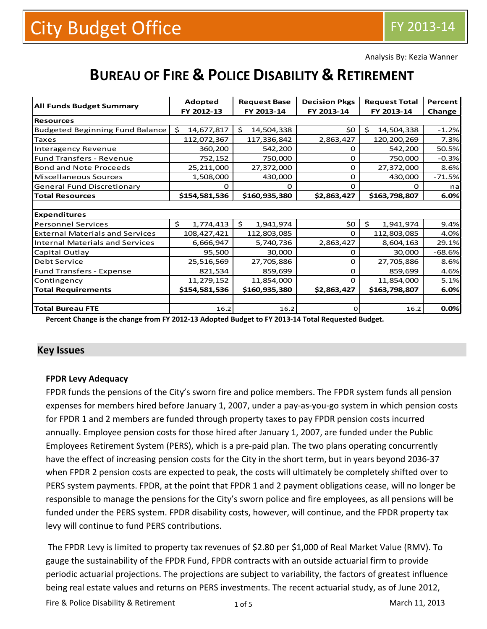Analysis By: Kezia Wanner

# **BUREAU OF FIRE & POLICE DISABILITY & RETIREMENT**

| <b>All Funds Budget Summary</b>        | <b>Adopted</b>   | <b>Request Base</b> | <b>Decision Pkgs</b> | <b>Request Total</b> | Percent  |
|----------------------------------------|------------------|---------------------|----------------------|----------------------|----------|
|                                        | FY 2012-13       | FY 2013-14          | FY 2013-14           | FY 2013-14           | Change   |
| <b>Resources</b>                       |                  |                     |                      |                      |          |
| <b>Budgeted Beginning Fund Balance</b> | 14,677,817<br>Ś. | Ŝ.<br>14,504,338    | \$0                  | \$<br>14,504,338     | $-1.2%$  |
| <b>Taxes</b>                           | 112,072,367      | 117,336,842         | 2,863,427            | 120,200,269          | 7.3%     |
| Interagency Revenue                    | 360,200          | 542,200             | 0                    | 542,200              | 50.5%    |
| <b>Fund Transfers - Revenue</b>        | 752,152          | 750,000             | 0                    | 750,000              | $-0.3%$  |
| <b>Bond and Note Proceeds</b>          | 25,211,000       | 27,372,000          | 0                    | 27,372,000           | 8.6%     |
| Miscellaneous Sources                  | 1,508,000        | 430,000             | $\mathbf 0$          | 430,000              | $-71.5%$ |
| <b>General Fund Discretionary</b>      | O                | $\Omega$            | $\Omega$             | $\Omega$             | na       |
| <b>Total Resources</b>                 | \$154,581,536    | \$160,935,380       | \$2,863,427          | \$163,798,807        | 6.0%     |
|                                        |                  |                     |                      |                      |          |
| <b>Expenditures</b>                    |                  |                     |                      |                      |          |
| <b>Personnel Services</b>              | \$<br>1,774,413  | \$<br>1,941,974     | \$0                  | \$<br>1,941,974      | 9.4%     |
| <b>External Materials and Services</b> | 108,427,421      | 112,803,085         | $\Omega$             | 112,803,085          | 4.0%     |
| <b>Internal Materials and Services</b> | 6,666,947        | 5,740,736           | 2,863,427            | 8,604,163            | 29.1%    |
| Capital Outlay                         | 95,500           | 30,000              | 0                    | 30,000               | $-68.6%$ |
| Debt Service                           | 25,516,569       | 27,705,886          | $\Omega$             | 27,705,886           | 8.6%     |
| <b>Fund Transfers - Expense</b>        | 821,534          | 859,699             | 0                    | 859,699              | 4.6%     |
| Contingency                            | 11,279,152       | 11,854,000          | $\Omega$             | 11,854,000           | 5.1%     |
| <b>Total Requirements</b>              | \$154,581,536    | \$160,935,380       | \$2,863,427          | \$163,798,807        | 6.0%     |
|                                        |                  |                     |                      |                      |          |
| <b>Total Bureau FTE</b>                | 16.2             | 16.2                | $\mathbf 0$          | 16.2                 | 0.0%     |

**Percent Change is the change from FY 2012-13 Adopted Budget to FY 2013-14 Total Requested Budget.**

# **Key Issues**

#### **FPDR Levy Adequacy**

FPDR funds the pensions of the City's sworn fire and police members. The FPDR system funds all pension expenses for members hired before January 1, 2007, under a pay-as-you-go system in which pension costs for FPDR 1 and 2 members are funded through property taxes to pay FPDR pension costs incurred annually. Employee pension costs for those hired after January 1, 2007, are funded under the Public Employees Retirement System (PERS), which is a pre-paid plan. The two plans operating concurrently have the effect of increasing pension costs for the City in the short term, but in years beyond 2036-37 when FPDR 2 pension costs are expected to peak, the costs will ultimately be completely shifted over to PERS system payments. FPDR, at the point that FPDR 1 and 2 payment obligations cease, will no longer be responsible to manage the pensions for the City's sworn police and fire employees, as all pensions will be funded under the PERS system. FPDR disability costs, however, will continue, and the FPDR property tax levy will continue to fund PERS contributions.

The FPDR Levy is limited to property tax revenues of \$2.80 per \$1,000 of Real Market Value (RMV). To gauge the sustainability of the FPDR Fund, FPDR contracts with an outside actuarial firm to provide periodic actuarial projections. The projections are subject to variability, the factors of greatest influence being real estate values and returns on PERS investments. The recent actuarial study, as of June 2012,

Fire & Police Disability & Retirement 1 and 1 and 5 and 10 minutes are more match 11, 2013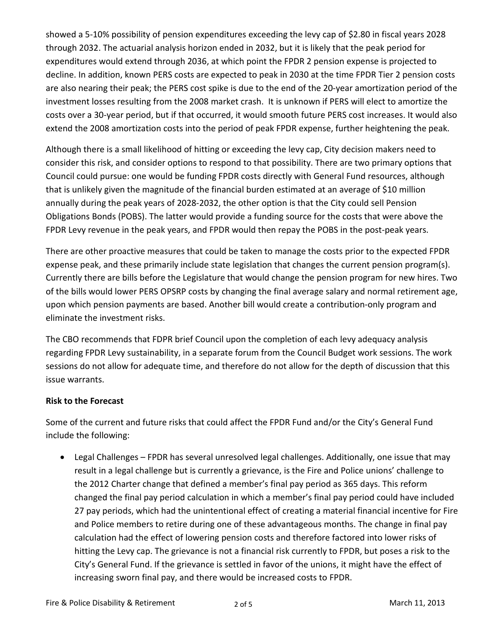showed a 5-10% possibility of pension expenditures exceeding the levy cap of \$2.80 in fiscal years 2028 through 2032. The actuarial analysis horizon ended in 2032, but it is likely that the peak period for expenditures would extend through 2036, at which point the FPDR 2 pension expense is projected to decline. In addition, known PERS costs are expected to peak in 2030 at the time FPDR Tier 2 pension costs are also nearing their peak; the PERS cost spike is due to the end of the 20-year amortization period of the investment losses resulting from the 2008 market crash. It is unknown if PERS will elect to amortize the costs over a 30-year period, but if that occurred, it would smooth future PERS cost increases. It would also extend the 2008 amortization costs into the period of peak FPDR expense, further heightening the peak.

Although there is a small likelihood of hitting or exceeding the levy cap, City decision makers need to consider this risk, and consider options to respond to that possibility. There are two primary options that Council could pursue: one would be funding FPDR costs directly with General Fund resources, although that is unlikely given the magnitude of the financial burden estimated at an average of \$10 million annually during the peak years of 2028-2032, the other option is that the City could sell Pension Obligations Bonds (POBS). The latter would provide a funding source for the costs that were above the FPDR Levy revenue in the peak years, and FPDR would then repay the POBS in the post-peak years.

There are other proactive measures that could be taken to manage the costs prior to the expected FPDR expense peak, and these primarily include state legislation that changes the current pension program(s). Currently there are bills before the Legislature that would change the pension program for new hires. Two of the bills would lower PERS OPSRP costs by changing the final average salary and normal retirement age, upon which pension payments are based. Another bill would create a contribution-only program and eliminate the investment risks.

The CBO recommends that FDPR brief Council upon the completion of each levy adequacy analysis regarding FPDR Levy sustainability, in a separate forum from the Council Budget work sessions. The work sessions do not allow for adequate time, and therefore do not allow for the depth of discussion that this issue warrants.

### **Risk to the Forecast**

Some of the current and future risks that could affect the FPDR Fund and/or the City's General Fund include the following:

• Legal Challenges – FPDR has several unresolved legal challenges. Additionally, one issue that may result in a legal challenge but is currently a grievance, is the Fire and Police unions' challenge to the 2012 Charter change that defined a member's final pay period as 365 days. This reform changed the final pay period calculation in which a member's final pay period could have included 27 pay periods, which had the unintentional effect of creating a material financial incentive for Fire and Police members to retire during one of these advantageous months. The change in final pay calculation had the effect of lowering pension costs and therefore factored into lower risks of hitting the Levy cap. The grievance is not a financial risk currently to FPDR, but poses a risk to the City's General Fund. If the grievance is settled in favor of the unions, it might have the effect of increasing sworn final pay, and there would be increased costs to FPDR.

2 of 5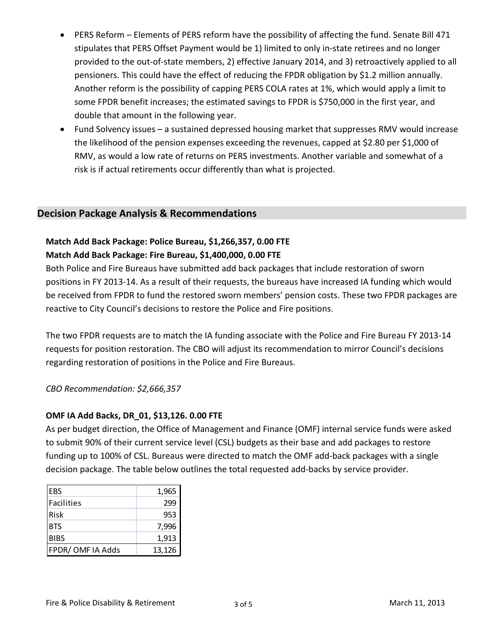- PERS Reform Elements of PERS reform have the possibility of affecting the fund. Senate Bill 471 stipulates that PERS Offset Payment would be 1) limited to only in-state retirees and no longer provided to the out-of-state members, 2) effective January 2014, and 3) retroactively applied to all pensioners. This could have the effect of reducing the FPDR obligation by \$1.2 million annually. Another reform is the possibility of capping PERS COLA rates at 1%, which would apply a limit to some FPDR benefit increases; the estimated savings to FPDR is \$750,000 in the first year, and double that amount in the following year.
- Fund Solvency issues a sustained depressed housing market that suppresses RMV would increase the likelihood of the pension expenses exceeding the revenues, capped at \$2.80 per \$1,000 of RMV, as would a low rate of returns on PERS investments. Another variable and somewhat of a risk is if actual retirements occur differently than what is projected.

# **Decision Package Analysis & Recommendations**

## **Match Add Back Package: Police Bureau, \$1,266,357, 0.00 FTE Match Add Back Package: Fire Bureau, \$1,400,000, 0.00 FTE**

Both Police and Fire Bureaus have submitted add back packages that include restoration of sworn positions in FY 2013-14. As a result of their requests, the bureaus have increased IA funding which would be received from FPDR to fund the restored sworn members' pension costs. These two FPDR packages are reactive to City Council's decisions to restore the Police and Fire positions.

The two FPDR requests are to match the IA funding associate with the Police and Fire Bureau FY 2013-14 requests for position restoration. The CBO will adjust its recommendation to mirror Council's decisions regarding restoration of positions in the Police and Fire Bureaus.

*CBO Recommendation: \$2,666,357*

### **OMF IA Add Backs, DR\_01, \$13,126. 0.00 FTE**

As per budget direction, the Office of Management and Finance (OMF) internal service funds were asked to submit 90% of their current service level (CSL) budgets as their base and add packages to restore funding up to 100% of CSL. Bureaus were directed to match the OMF add-back packages with a single decision package. The table below outlines the total requested add-backs by service provider.

| <b>IEBS</b>     | 1,965  |
|-----------------|--------|
| Facilities      | 299    |
| Risk            | 953    |
| <b>BTS</b>      | 7,996  |
| <b>BIBS</b>     | 1,913  |
| FPDR/OMFIA Adds | 13,126 |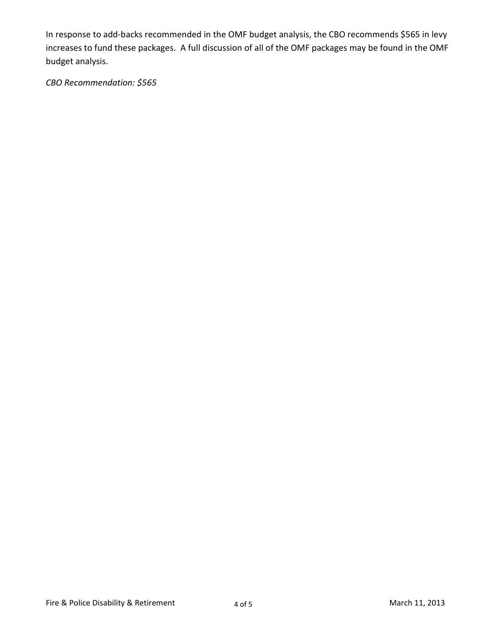In response to add-backs recommended in the OMF budget analysis, the CBO recommends \$565 in levy increases to fund these packages. A full discussion of all of the OMF packages may be found in the OMF budget analysis.

*CBO Recommendation: \$565*